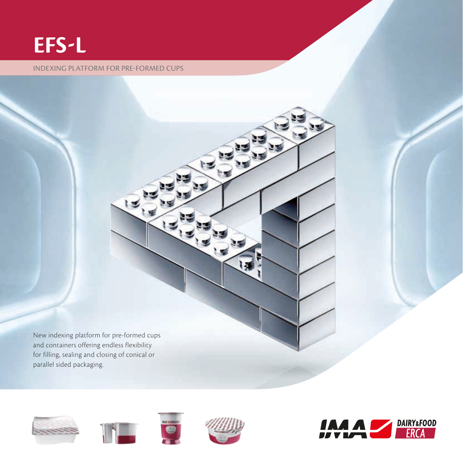# **EFS-L**

#### INDEXING PLATFORM FOR PRE-FORMED CUPS

**I** New indexing platform for pre-formed cups and containers offering endless flexibility for filling, sealing and closing of conical or



parallel sided packaging.





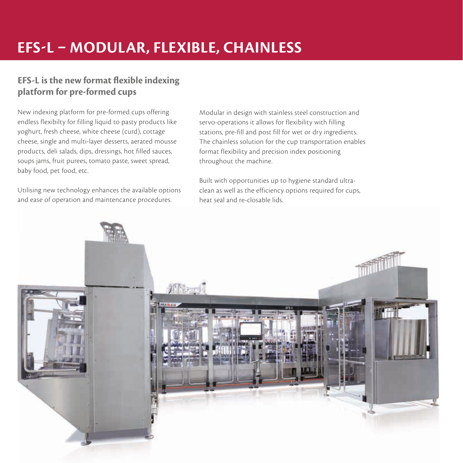## **EFS-L – MODULAR, FLEXIBLE, CHAINLESS**

### **EFS-L is the new format flexible indexing platform for pre-formed cups**

New indexing platform for pre-formed cups offering endless flexibilty for filling liquid to pasty products like yoghurt, fresh cheese, white cheese (curd), cottage cheese, single and multi-layer desserts, aerated mousse products, deli salads, dips, dressings, hot filled sauces, soups jams, fruit purees, tomato paste, sweet spread, baby food, pet food, etc.

Utilising new technology enhances the available options and ease of operation and maintencance procedures.

Modular in design with stainless steel construction and servo-operations it allows for flexibility with filling stations, pre-fill and post fill for wet or dry ingredients. The chainless solution for the cup transportation enables format flexibility and precision index positioning throughout the machine.

Built with opportunities up to hygiene standard ultraclean as well as the efficiency options required for cups, heat seal and re-closable lids.

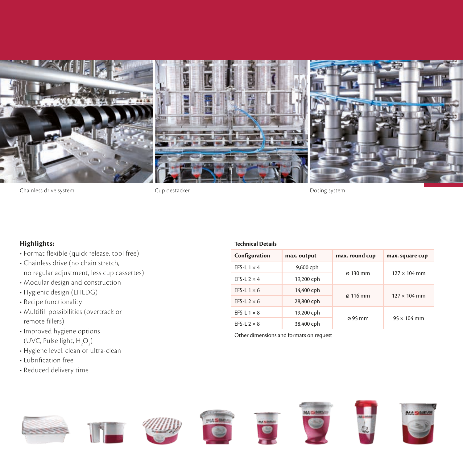

Chainless drive system Cup destacker Dosing system

### **Highlights:**

- Format flexible (quick release, tool free)
- Chainless drive (no chain stretch, no regular adjustment, less cup cassettes)
- Modular design and construction
- Hygienic design (EHEDG)
- Recipe functionality
- Multifill possibilities (overtrack or remote fillers)
- Improved hygiene options (UVC, Pulse light,  $H_2O_2$ )
- Hygiene level: clean or ultra-clean
- Lubrification free
- Reduced delivery time

















| <b>Technical Details</b> |             |                      |                     |
|--------------------------|-------------|----------------------|---------------------|
| Configuration            | max. output | max. round cup       | max. square cup     |
| EFS-L $1 \times 4$       | 9,600 cph   | $\varnothing$ 130 mm | $127 \times 104$ mm |
| EFS-L $2 \times 4$       | 19,200 cph  |                      |                     |
| EFS-L $1 \times 6$       | 14,400 cph  | $\alpha$ 116 mm      | $127 \times 104$ mm |
| EFS-L $2 \times 6$       | 28,800 cph  |                      |                     |
| EFS-L $1 \times 8$       | 19,200 cph  | $\varnothing$ 95 mm  | $95 \times 104$ mm  |
|                          |             |                      |                     |

Other dimensions and formats on request

EFS-L  $2 \times 8$  38,400 cph